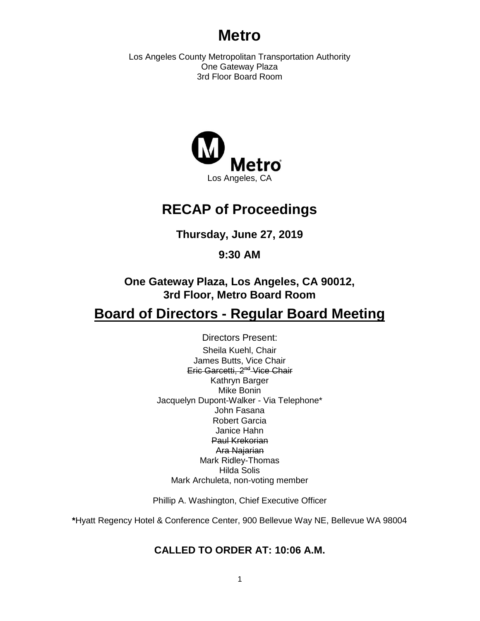# **Metro**

Los Angeles County Metropolitan Transportation Authority One Gateway Plaza 3rd Floor Board Room



# **RECAP of Proceedings**

**Thursday, June 27, 2019**

**9:30 AM**

**One Gateway Plaza, Los Angeles, CA 90012, 3rd Floor, Metro Board Room**

# **Board of Directors - Regular Board Meeting**

Directors Present: Sheila Kuehl, Chair James Butts, Vice Chair Eric Garcetti, 2<sup>nd</sup> Vice Chair Kathryn Barger Mike Bonin Jacquelyn Dupont-Walker - Via Telephone\* John Fasana Robert Garcia Janice Hahn Paul Krekorian Ara Najarian Mark Ridley-Thomas

Hilda Solis Mark Archuleta, non-voting member

Phillip A. Washington, Chief Executive Officer

**\***Hyatt Regency Hotel & Conference Center, 900 Bellevue Way NE, Bellevue WA 98004

# **CALLED TO ORDER AT: 10:06 A.M.**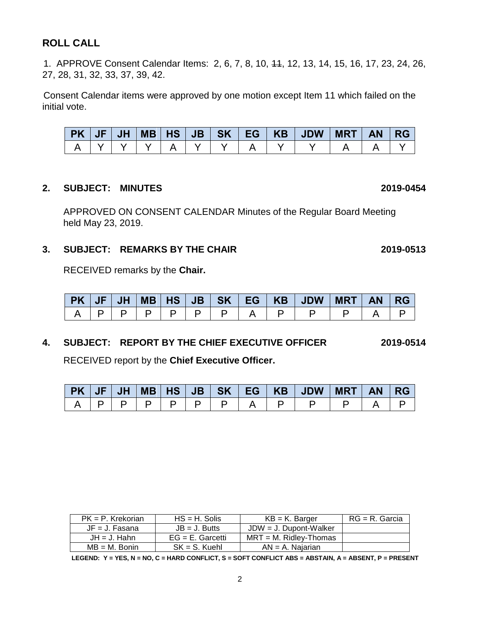# **ROLL CALL**

1. APPROVE Consent Calendar Items: 2, 6, 7, 8, 10, 11, 12, 13, 14, 15, 16, 17, 23, 24, 26, 27, 28, 31, 32, 33, 37, 39, 42.

Consent Calendar items were approved by one motion except Item 11 which failed on the initial vote.

| <b>PK</b> | <b>JH</b> | $MB$ $HS$ $JB$ |  | SK   EG | KB JDW | MRT | <b>AN</b> | RG |
|-----------|-----------|----------------|--|---------|--------|-----|-----------|----|
|           |           |                |  |         |        |     |           |    |

#### **2. SUBJECT: MINUTES 2019-0454**

APPROVED ON CONSENT CALENDAR Minutes of the Regular Board Meeting held May 23, 2019.

#### **3. SUBJECT: REMARKS BY THE CHAIR 2019-0513**

RECEIVED remarks by the **Chair.**

| <b>PK</b> | <b>JH</b> | $MB$   HS | <b>JB</b> |  | SK   EG   KB | JDW | <b>MRT</b> | <b>AN</b> | <b>RG</b> |
|-----------|-----------|-----------|-----------|--|--------------|-----|------------|-----------|-----------|
|           |           |           |           |  |              |     |            |           |           |

#### **4. SUBJECT: REPORT BY THE CHIEF EXECUTIVE OFFICER 2019-0514**

RECEIVED report by the **Chief Executive Officer.** 

|  |  |  |  | PK   JF   JH   MB   HS   JB   SK   EG   KB   JDW   MRT | AN RG |  |
|--|--|--|--|--------------------------------------------------------|-------|--|
|  |  |  |  |                                                        |       |  |

| $PK = P$ . Krekorian | $HS = H$ . Solis    | $KB = K$ . Barger         | $RG = R$ . Garcia |
|----------------------|---------------------|---------------------------|-------------------|
| $JF = J$ . Fasana    | $JB = J.$ Butts     | $JDW = J$ . Dupont-Walker |                   |
| $JH = J$ . Hahn      | $EG = E$ . Garcetti | $MRT = M$ . Ridley-Thomas |                   |
| $MB = M$ . Bonin     | $SK = S$ . Kuehl    | $AN = A$ . Najarian       |                   |

**LEGEND: Y = YES, N = NO, C = HARD CONFLICT, S = SOFT CONFLICT ABS = ABSTAIN, A = ABSENT, P = PRESENT**

2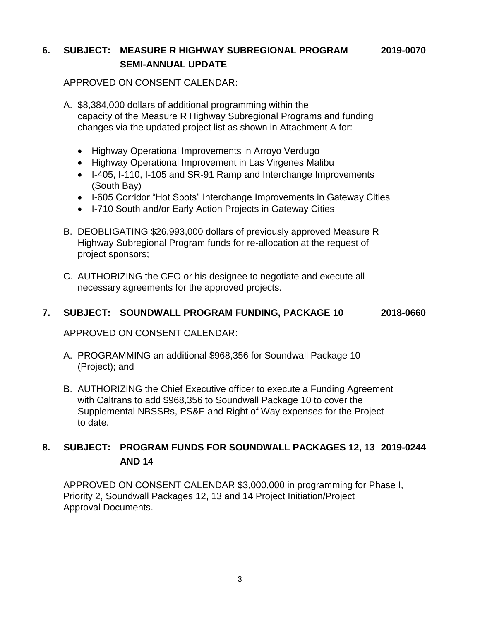## **6. SUBJECT: MEASURE R HIGHWAY SUBREGIONAL PROGRAM 2019-0070 SEMI-ANNUAL UPDATE**

#### APPROVED ON CONSENT CALENDAR:

- A. \$8,384,000 dollars of additional programming within the capacity of the Measure R Highway Subregional Programs and funding changes via the updated project list as shown in Attachment A for:
	- Highway Operational Improvements in Arroyo Verdugo
	- Highway Operational Improvement in Las Virgenes Malibu
	- I-405, I-110, I-105 and SR-91 Ramp and Interchange Improvements (South Bay)
	- I-605 Corridor "Hot Spots" Interchange Improvements in Gateway Cities
	- I-710 South and/or Early Action Projects in Gateway Cities
- B. DEOBLIGATING \$26,993,000 dollars of previously approved Measure R Highway Subregional Program funds for re-allocation at the request of project sponsors;
- C. AUTHORIZING the CEO or his designee to negotiate and execute all necessary agreements for the approved projects.

#### **7. SUBJECT: SOUNDWALL PROGRAM FUNDING, PACKAGE 10 2018-0660**

APPROVED ON CONSENT CALENDAR:

- A. PROGRAMMING an additional \$968,356 for Soundwall Package 10 (Project); and
- B. AUTHORIZING the Chief Executive officer to execute a Funding Agreement with Caltrans to add \$968,356 to Soundwall Package 10 to cover the Supplemental NBSSRs, PS&E and Right of Way expenses for the Project to date.

## **8. SUBJECT: PROGRAM FUNDS FOR SOUNDWALL PACKAGES 12, 13 2019-0244 AND 14**

APPROVED ON CONSENT CALENDAR \$3,000,000 in programming for Phase I, Priority 2, Soundwall Packages 12, 13 and 14 Project Initiation/Project Approval Documents.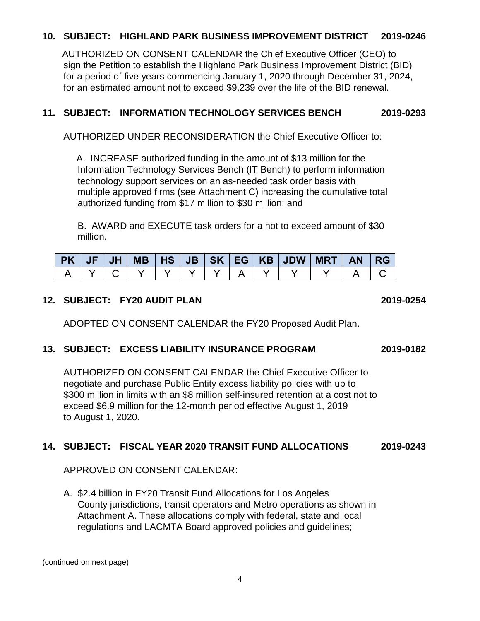#### **10. SUBJECT: HIGHLAND PARK BUSINESS IMPROVEMENT DISTRICT 2019-0246**

AUTHORIZED ON CONSENT CALENDAR the Chief Executive Officer (CEO) to sign the Petition to establish the Highland Park Business Improvement District (BID) for a period of five years commencing January 1, 2020 through December 31, 2024, for an estimated amount not to exceed \$9,239 over the life of the BID renewal.

#### **11. SUBJECT: INFORMATION TECHNOLOGY SERVICES BENCH 2019-0293**

AUTHORIZED UNDER RECONSIDERATION the Chief Executive Officer to:

A. INCREASE authorized funding in the amount of \$13 million for the Information Technology Services Bench (IT Bench) to perform information technology support services on an as-needed task order basis with multiple approved firms (see Attachment C) increasing the cumulative total authorized funding from \$17 million to \$30 million; and

B. AWARD and EXECUTE task orders for a not to exceed amount of \$30 million.

|  |  |  |  |  | PK   JF   JH   MB   HS   JB   SK   EG   KB   JDW   MRT   AN   RG |  |
|--|--|--|--|--|------------------------------------------------------------------|--|
|  |  |  |  |  |                                                                  |  |

#### **12. SUBJECT: FY20 AUDIT PLAN 2019-0254**

ADOPTED ON CONSENT CALENDAR the FY20 Proposed Audit Plan.

#### **13. SUBJECT: EXCESS LIABILITY INSURANCE PROGRAM 2019-0182**

AUTHORIZED ON CONSENT CALENDAR the Chief Executive Officer to negotiate and purchase Public Entity excess liability policies with up to \$300 million in limits with an \$8 million self-insured retention at a cost not to exceed \$6.9 million for the 12-month period effective August 1, 2019 to August 1, 2020.

### **14. SUBJECT: FISCAL YEAR 2020 TRANSIT FUND ALLOCATIONS 2019-0243**

APPROVED ON CONSENT CALENDAR:

A. \$2.4 billion in FY20 Transit Fund Allocations for Los Angeles County jurisdictions, transit operators and Metro operations as shown in Attachment A. These allocations comply with federal, state and local regulations and LACMTA Board approved policies and guidelines;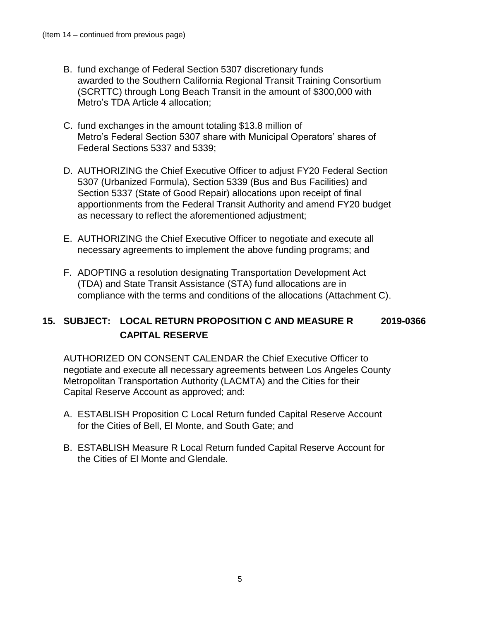- B. fund exchange of Federal Section 5307 discretionary funds awarded to the Southern California Regional Transit Training Consortium (SCRTTC) through Long Beach Transit in the amount of \$300,000 with Metro's TDA Article 4 allocation;
- C. fund exchanges in the amount totaling \$13.8 million of Metro's Federal Section 5307 share with Municipal Operators' shares of Federal Sections 5337 and 5339;
- D. AUTHORIZING the Chief Executive Officer to adjust FY20 Federal Section 5307 (Urbanized Formula), Section 5339 (Bus and Bus Facilities) and Section 5337 (State of Good Repair) allocations upon receipt of final apportionments from the Federal Transit Authority and amend FY20 budget as necessary to reflect the aforementioned adjustment;
- E. AUTHORIZING the Chief Executive Officer to negotiate and execute all necessary agreements to implement the above funding programs; and
- F. ADOPTING a resolution designating Transportation Development Act (TDA) and State Transit Assistance (STA) fund allocations are in compliance with the terms and conditions of the allocations (Attachment C).

## **15. SUBJECT: LOCAL RETURN PROPOSITION C AND MEASURE R 2019-0366 CAPITAL RESERVE**

AUTHORIZED ON CONSENT CALENDAR the Chief Executive Officer to negotiate and execute all necessary agreements between Los Angeles County Metropolitan Transportation Authority (LACMTA) and the Cities for their Capital Reserve Account as approved; and:

- A. ESTABLISH Proposition C Local Return funded Capital Reserve Account for the Cities of Bell, El Monte, and South Gate; and
- B. ESTABLISH Measure R Local Return funded Capital Reserve Account for the Cities of El Monte and Glendale.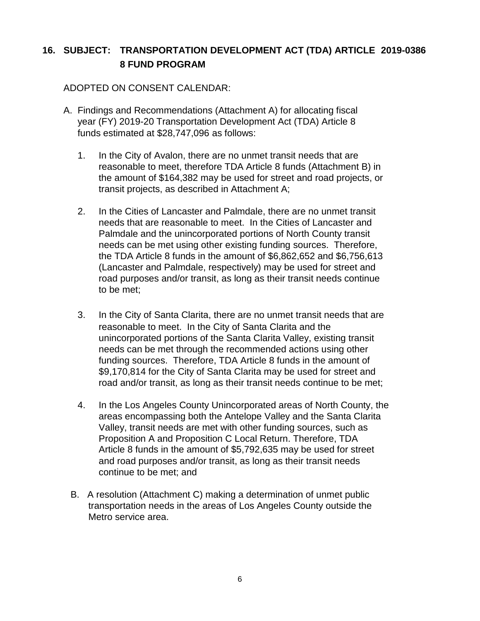# **16. SUBJECT: TRANSPORTATION DEVELOPMENT ACT (TDA) ARTICLE 2019-0386 8 FUND PROGRAM**

#### ADOPTED ON CONSENT CALENDAR:

- A. Findings and Recommendations (Attachment A) for allocating fiscal year (FY) 2019-20 Transportation Development Act (TDA) Article 8 funds estimated at \$28,747,096 as follows:
	- 1. In the City of Avalon, there are no unmet transit needs that are reasonable to meet, therefore TDA Article 8 funds (Attachment B) in the amount of \$164,382 may be used for street and road projects, or transit projects, as described in Attachment A;
	- 2. In the Cities of Lancaster and Palmdale, there are no unmet transit needs that are reasonable to meet. In the Cities of Lancaster and Palmdale and the unincorporated portions of North County transit needs can be met using other existing funding sources. Therefore, the TDA Article 8 funds in the amount of \$6,862,652 and \$6,756,613 (Lancaster and Palmdale, respectively) may be used for street and road purposes and/or transit, as long as their transit needs continue to be met;
	- 3. In the City of Santa Clarita, there are no unmet transit needs that are reasonable to meet. In the City of Santa Clarita and the unincorporated portions of the Santa Clarita Valley, existing transit needs can be met through the recommended actions using other funding sources. Therefore, TDA Article 8 funds in the amount of \$9,170,814 for the City of Santa Clarita may be used for street and road and/or transit, as long as their transit needs continue to be met;
	- 4. In the Los Angeles County Unincorporated areas of North County, the areas encompassing both the Antelope Valley and the Santa Clarita Valley, transit needs are met with other funding sources, such as Proposition A and Proposition C Local Return. Therefore, TDA Article 8 funds in the amount of \$5,792,635 may be used for street and road purposes and/or transit, as long as their transit needs continue to be met; and
	- B. A resolution (Attachment C) making a determination of unmet public transportation needs in the areas of Los Angeles County outside the Metro service area.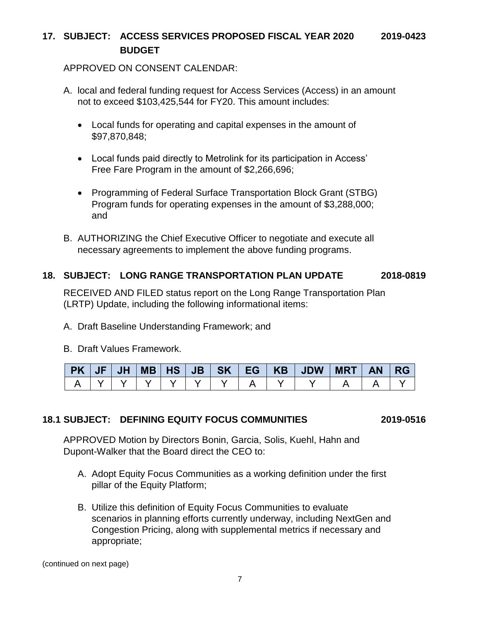### **17. SUBJECT: ACCESS SERVICES PROPOSED FISCAL YEAR 2020 2019-0423 BUDGET**

#### APPROVED ON CONSENT CALENDAR:

- A. local and federal funding request for Access Services (Access) in an amount not to exceed \$103,425,544 for FY20. This amount includes:
	- Local funds for operating and capital expenses in the amount of \$97,870,848;
	- Local funds paid directly to Metrolink for its participation in Access' Free Fare Program in the amount of \$2,266,696;
	- Programming of Federal Surface Transportation Block Grant (STBG) Program funds for operating expenses in the amount of \$3,288,000; and
- B. AUTHORIZING the Chief Executive Officer to negotiate and execute all necessary agreements to implement the above funding programs.

#### **18. SUBJECT: LONG RANGE TRANSPORTATION PLAN UPDATE 2018-0819**

RECEIVED AND FILED status report on the Long Range Transportation Plan (LRTP) Update, including the following informational items:

- A. Draft Baseline Understanding Framework; and
- B. Draft Values Framework.

|  |  |  |  | PK   JF   JH   MB   HS   JB   SK   EG   KB   JDW   MRT   AN   RG |  |  |
|--|--|--|--|------------------------------------------------------------------|--|--|
|  |  |  |  |                                                                  |  |  |

#### **18.1 SUBJECT: DEFINING EQUITY FOCUS COMMUNITIES 2019-0516**

APPROVED Motion by Directors Bonin, Garcia, Solis, Kuehl, Hahn and Dupont-Walker that the Board direct the CEO to:

- A. Adopt Equity Focus Communities as a working definition under the first pillar of the Equity Platform;
- B. Utilize this definition of Equity Focus Communities to evaluate scenarios in planning efforts currently underway, including NextGen and Congestion Pricing, along with supplemental metrics if necessary and appropriate;

(continued on next page)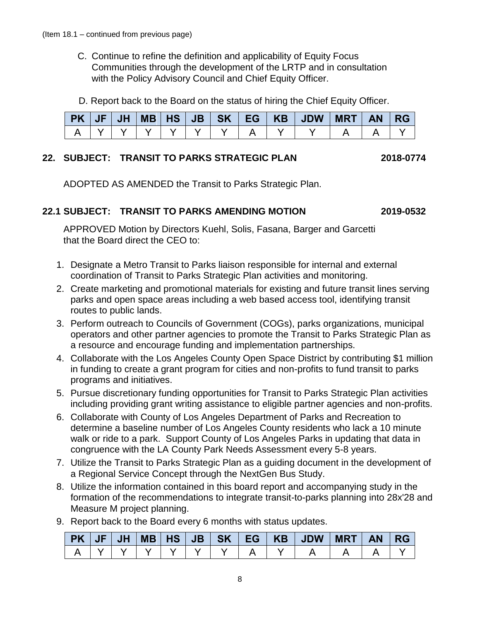- C. Continue to refine the definition and applicability of Equity Focus Communities through the development of the LRTP and in consultation with the Policy Advisory Council and Chief Equity Officer.
- D. Report back to the Board on the status of hiring the Chief Equity Officer.

|  |  |  |  | $PK$   JF   JH   MB   HS   JB   SK   EG   KB   JDW   MRT | <b>AN</b> | <b>RG</b> |
|--|--|--|--|----------------------------------------------------------|-----------|-----------|
|  |  |  |  |                                                          |           |           |

#### **22. SUBJECT: TRANSIT TO PARKS STRATEGIC PLAN 2018-0774**

ADOPTED AS AMENDED the Transit to Parks Strategic Plan.

#### **22.1 SUBJECT: TRANSIT TO PARKS AMENDING MOTION 2019-0532**

APPROVED Motion by Directors Kuehl, Solis, Fasana, Barger and Garcetti that the Board direct the CEO to:

- 1. Designate a Metro Transit to Parks liaison responsible for internal and external coordination of Transit to Parks Strategic Plan activities and monitoring.
- 2. Create marketing and promotional materials for existing and future transit lines serving parks and open space areas including a web based access tool, identifying transit routes to public lands.
- 3. Perform outreach to Councils of Government (COGs), parks organizations, municipal operators and other partner agencies to promote the Transit to Parks Strategic Plan as a resource and encourage funding and implementation partnerships.
- 4. Collaborate with the Los Angeles County Open Space District by contributing \$1 million in funding to create a grant program for cities and non-profits to fund transit to parks programs and initiatives.
- 5. Pursue discretionary funding opportunities for Transit to Parks Strategic Plan activities including providing grant writing assistance to eligible partner agencies and non-profits.
- 6. Collaborate with County of Los Angeles Department of Parks and Recreation to determine a baseline number of Los Angeles County residents who lack a 10 minute walk or ride to a park. Support County of Los Angeles Parks in updating that data in congruence with the LA County Park Needs Assessment every 5-8 years.
- 7. Utilize the Transit to Parks Strategic Plan as a guiding document in the development of a Regional Service Concept through the NextGen Bus Study.
- 8. Utilize the information contained in this board report and accompanying study in the formation of the recommendations to integrate transit-to-parks planning into 28x'28 and Measure M project planning.
- 9. Report back to the Board every 6 months with status updates.

|  |  |  |  | PK   JF   JH   MB   HS   JB   SK   EG   KB   JDW   MRT   AN   RG |  |  |
|--|--|--|--|------------------------------------------------------------------|--|--|
|  |  |  |  |                                                                  |  |  |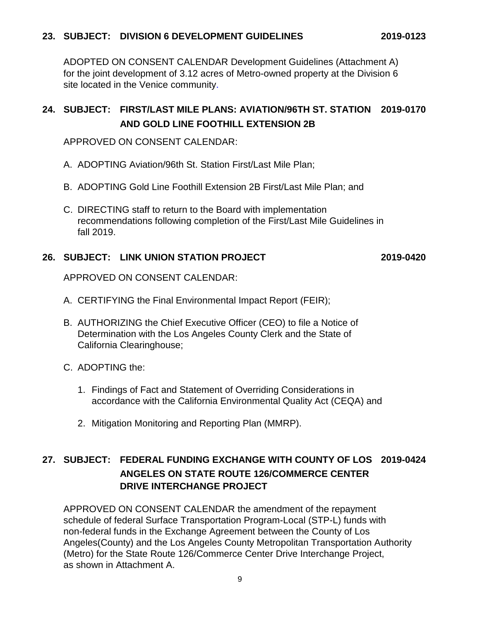ADOPTED ON CONSENT CALENDAR Development Guidelines (Attachment A) for the joint development of 3.12 acres of Metro-owned property at the Division 6 site located in the Venice community.

# **24. SUBJECT: FIRST/LAST MILE PLANS: AVIATION/96TH ST. STATION 2019-0170 AND GOLD LINE FOOTHILL EXTENSION 2B**

APPROVED ON CONSENT CALENDAR:

- A. ADOPTING Aviation/96th St. Station First/Last Mile Plan;
- B. ADOPTING Gold Line Foothill Extension 2B First/Last Mile Plan; and
- C. DIRECTING staff to return to the Board with implementation recommendations following completion of the First/Last Mile Guidelines in fall 2019.

#### **26. SUBJECT: LINK UNION STATION PROJECT 2019-0420**

APPROVED ON CONSENT CALENDAR:

- A. CERTIFYING the Final Environmental Impact Report (FEIR);
- B. AUTHORIZING the Chief Executive Officer (CEO) to file a Notice of Determination with the Los Angeles County Clerk and the State of California Clearinghouse;
- C. ADOPTING the:
	- 1. Findings of Fact and Statement of Overriding Considerations in accordance with the California Environmental Quality Act (CEQA) and
	- 2. Mitigation Monitoring and Reporting Plan (MMRP).

# **27. SUBJECT: FEDERAL FUNDING EXCHANGE WITH COUNTY OF LOS 2019-0424 ANGELES ON STATE ROUTE 126/COMMERCE CENTER DRIVE INTERCHANGE PROJECT**

APPROVED ON CONSENT CALENDAR the amendment of the repayment schedule of federal Surface Transportation Program-Local (STP-L) funds with non-federal funds in the Exchange Agreement between the County of Los Angeles(County) and the Los Angeles County Metropolitan Transportation Authority (Metro) for the State Route 126/Commerce Center Drive Interchange Project, as shown in Attachment A.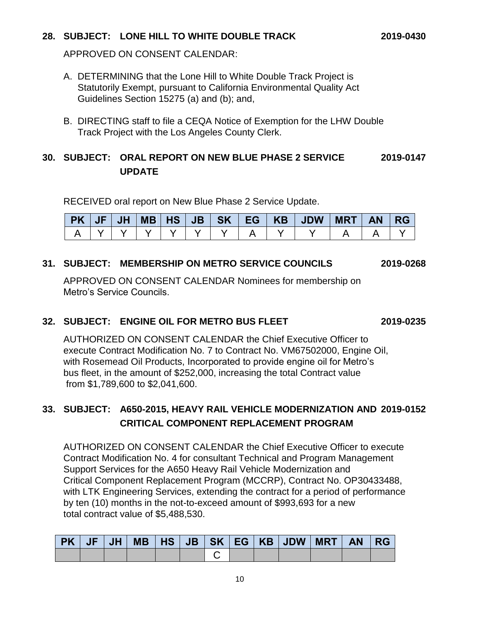### **28. SUBJECT: LONE HILL TO WHITE DOUBLE TRACK 2019-0430**

APPROVED ON CONSENT CALENDAR:

- A. DETERMINING that the Lone Hill to White Double Track Project is Statutorily Exempt, pursuant to California Environmental Quality Act Guidelines Section 15275 (a) and (b); and,
- B. DIRECTING staff to file a CEQA Notice of Exemption for the LHW Double Track Project with the Los Angeles County Clerk.

### **30. SUBJECT: ORAL REPORT ON NEW BLUE PHASE 2 SERVICE 2019-0147 UPDATE**

RECEIVED oral report on New Blue Phase 2 Service Update.

| PK | <b>JF</b> | JH | MB   HS | JB | SK V | EG I | <b>KB</b> | <b>JDW</b> | <b>MRT</b> | <b>RG</b> |
|----|-----------|----|---------|----|------|------|-----------|------------|------------|-----------|
|    |           |    |         |    |      |      |           |            |            |           |

#### **31. SUBJECT: MEMBERSHIP ON METRO SERVICE COUNCILS 2019-0268**

APPROVED ON CONSENT CALENDAR Nominees for membership on Metro's Service Councils.

#### **32. SUBJECT: ENGINE OIL FOR METRO BUS FLEET 2019-0235**

AUTHORIZED ON CONSENT CALENDAR the Chief Executive Officer to execute Contract Modification No. 7 to Contract No. VM67502000, Engine Oil, with Rosemead Oil Products, Incorporated to provide engine oil for Metro's bus fleet, in the amount of \$252,000, increasing the total Contract value from \$1,789,600 to \$2,041,600.

# **33. SUBJECT: A650-2015, HEAVY RAIL VEHICLE MODERNIZATION AND 2019-0152 CRITICAL COMPONENT REPLACEMENT PROGRAM**

AUTHORIZED ON CONSENT CALENDAR the Chief Executive Officer to execute Contract Modification No. 4 for consultant Technical and Program Management Support Services for the A650 Heavy Rail Vehicle Modernization and Critical Component Replacement Program (MCCRP), Contract No. OP30433488, with LTK Engineering Services, extending the contract for a period of performance by ten (10) months in the not-to-exceed amount of \$993,693 for a new total contract value of \$5,488,530.

|  |  |  |  |  | PK   JF   JH   MB   HS   JB   SK   EG   KB   JDW   MRT   AN   RG |  |
|--|--|--|--|--|------------------------------------------------------------------|--|
|  |  |  |  |  |                                                                  |  |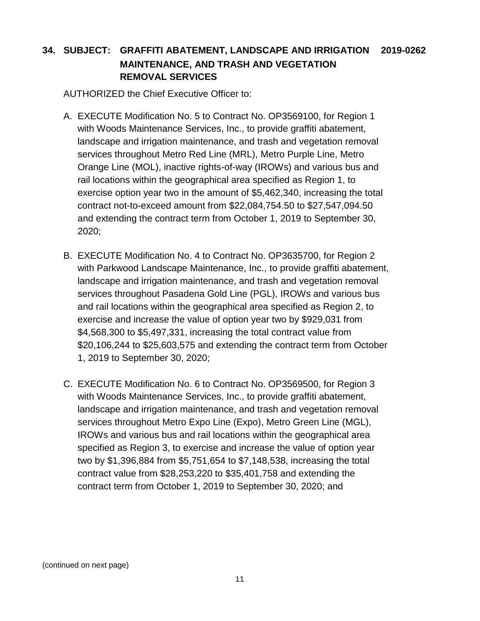# **34. SUBJECT: GRAFFITI ABATEMENT, LANDSCAPE AND IRRIGATION 2019-0262 MAINTENANCE, AND TRASH AND VEGETATION REMOVAL SERVICES**

AUTHORIZED the Chief Executive Officer to:

- A. EXECUTE Modification No. 5 to Contract No. OP3569100, for Region 1 with Woods Maintenance Services, Inc., to provide graffiti abatement, landscape and irrigation maintenance, and trash and vegetation removal services throughout Metro Red Line (MRL), Metro Purple Line, Metro Orange Line (MOL), inactive rights-of-way (IROWs) and various bus and rail locations within the geographical area specified as Region 1, to exercise option year two in the amount of \$5,462,340, increasing the total contract not-to-exceed amount from \$22,084,754.50 to \$27,547,094.50 and extending the contract term from October 1, 2019 to September 30, 2020;
- B. EXECUTE Modification No. 4 to Contract No. OP3635700, for Region 2 with Parkwood Landscape Maintenance, Inc., to provide graffiti abatement, landscape and irrigation maintenance, and trash and vegetation removal services throughout Pasadena Gold Line (PGL), IROWs and various bus and rail locations within the geographical area specified as Region 2, to exercise and increase the value of option year two by \$929,031 from \$4,568,300 to \$5,497,331, increasing the total contract value from \$20,106,244 to \$25,603,575 and extending the contract term from October 1, 2019 to September 30, 2020;
- C. EXECUTE Modification No. 6 to Contract No. OP3569500, for Region 3 with Woods Maintenance Services, Inc., to provide graffiti abatement, landscape and irrigation maintenance, and trash and vegetation removal services throughout Metro Expo Line (Expo), Metro Green Line (MGL), IROWs and various bus and rail locations within the geographical area specified as Region 3, to exercise and increase the value of option year two by \$1,396,884 from \$5,751,654 to \$7,148,538, increasing the total contract value from \$28,253,220 to \$35,401,758 and extending the contract term from October 1, 2019 to September 30, 2020; and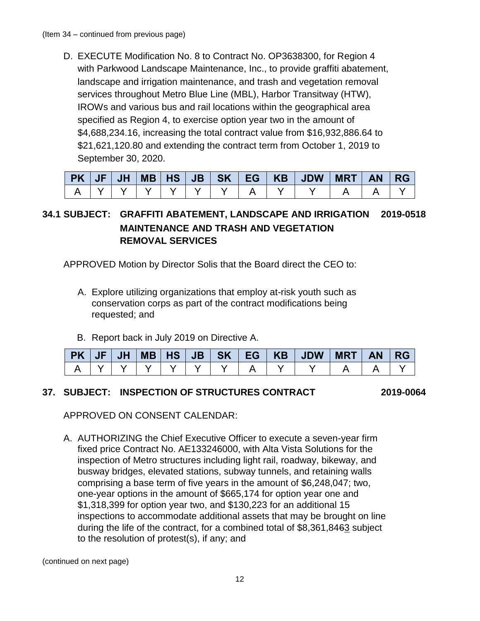D. EXECUTE Modification No. 8 to Contract No. OP3638300, for Region 4 with Parkwood Landscape Maintenance, Inc., to provide graffiti abatement, landscape and irrigation maintenance, and trash and vegetation removal services throughout Metro Blue Line (MBL), Harbor Transitway (HTW), IROWs and various bus and rail locations within the geographical area specified as Region 4, to exercise option year two in the amount of \$4,688,234.16, increasing the total contract value from \$16,932,886.64 to \$21,621,120.80 and extending the contract term from October 1, 2019 to September 30, 2020.

| PK JF JH |  |  |  |  | MB HS JB SK EG KB JDW | <b>MRT</b> | AN/ | <b>RG</b> |
|----------|--|--|--|--|-----------------------|------------|-----|-----------|
|          |  |  |  |  |                       |            |     |           |

# **34.1 SUBJECT: GRAFFITI ABATEMENT, LANDSCAPE AND IRRIGATION 2019-0518 MAINTENANCE AND TRASH AND VEGETATION REMOVAL SERVICES**

APPROVED Motion by Director Solis that the Board direct the CEO to:

- A. Explore utilizing organizations that employ at-risk youth such as conservation corps as part of the contract modifications being requested; and
- B. Report back in July 2019 on Directive A.

|  |  |  |  | $PK$   JF   JH   MB   HS   JB   SK   EG   KB   JDW   MRT   AN   RG |  |  |
|--|--|--|--|--------------------------------------------------------------------|--|--|
|  |  |  |  |                                                                    |  |  |

### **37. SUBJECT: INSPECTION OF STRUCTURES CONTRACT 2019-0064**

APPROVED ON CONSENT CALENDAR:

A. AUTHORIZING the Chief Executive Officer to execute a seven-year firm fixed price Contract No. AE133246000, with Alta Vista Solutions for the inspection of Metro structures including light rail, roadway, bikeway, and busway bridges, elevated stations, subway tunnels, and retaining walls comprising a base term of five years in the amount of \$6,248,047; two, one-year options in the amount of \$665,174 for option year one and \$1,318,399 for option year two, and \$130,223 for an additional 15 inspections to accommodate additional assets that may be brought on line during the life of the contract, for a combined total of \$8,361,8463 subject to the resolution of protest(s), if any; and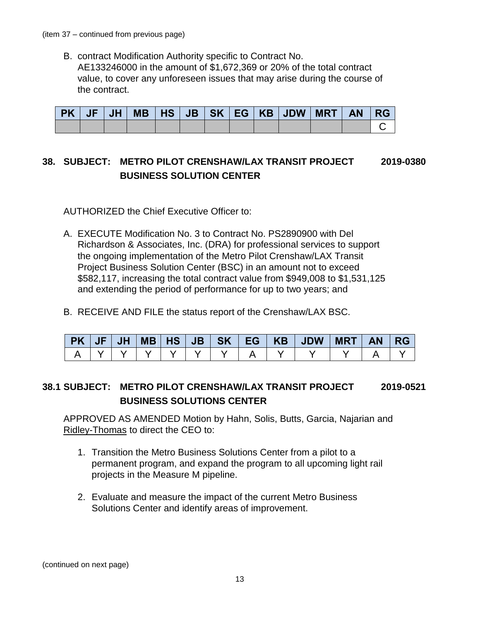B. contract Modification Authority specific to Contract No. AE133246000 in the amount of \$1,672,369 or 20% of the total contract value, to cover any unforeseen issues that may arise during the course of the contract.

|  |  |  |  | PK   JF   JH   MB   HS   JB   SK   EG   KB   JDW   MRT   AN   RG |  |  |
|--|--|--|--|------------------------------------------------------------------|--|--|
|  |  |  |  |                                                                  |  |  |

# **38. SUBJECT: METRO PILOT CRENSHAW/LAX TRANSIT PROJECT 2019-0380 BUSINESS SOLUTION CENTER**

AUTHORIZED the Chief Executive Officer to:

- A. EXECUTE Modification No. 3 to Contract No. PS2890900 with Del Richardson & Associates, Inc. (DRA) for professional services to support the ongoing implementation of the Metro Pilot Crenshaw/LAX Transit Project Business Solution Center (BSC) in an amount not to exceed \$582,117, increasing the total contract value from \$949,008 to \$1,531,125 and extending the period of performance for up to two years; and
- B. RECEIVE AND FILE the status report of the Crenshaw/LAX BSC.

| $PK$ JF | <b>JH</b> |  |  |  | MB   HS   JB   SK   EG   KB   JDW | MRT | AN RG |  |
|---------|-----------|--|--|--|-----------------------------------|-----|-------|--|
|         |           |  |  |  |                                   |     |       |  |

### **38.1 SUBJECT: METRO PILOT CRENSHAW/LAX TRANSIT PROJECT 2019-0521 BUSINESS SOLUTIONS CENTER**

APPROVED AS AMENDED Motion by Hahn, Solis, Butts, Garcia, Najarian and Ridley-Thomas to direct the CEO to:

- 1. Transition the Metro Business Solutions Center from a pilot to a permanent program, and expand the program to all upcoming light rail projects in the Measure M pipeline.
- 2. Evaluate and measure the impact of the current Metro Business Solutions Center and identify areas of improvement.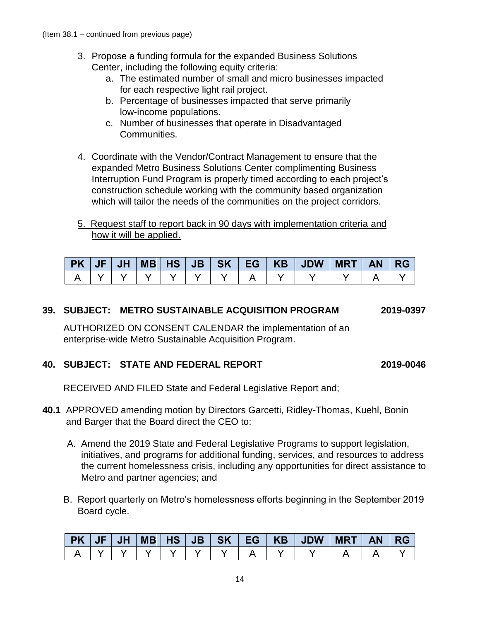- 3. Propose a funding formula for the expanded Business Solutions Center, including the following equity criteria:
	- a. The estimated number of small and micro businesses impacted for each respective light rail project.
	- b. Percentage of businesses impacted that serve primarily low-income populations.
	- c. Number of businesses that operate in Disadvantaged Communities.
- 4. Coordinate with the Vendor/Contract Management to ensure that the expanded Metro Business Solutions Center complimenting Business Interruption Fund Program is properly timed according to each project's construction schedule working with the community based organization which will tailor the needs of the communities on the project corridors.
- 5. Request staff to report back in 90 days with implementation criteria and how it will be applied.

|  |  |  |  | $PK$   JF   JH   MB   HS   JB   SK   EG   KB   JDW   MRT   AN   RG |  |  |
|--|--|--|--|--------------------------------------------------------------------|--|--|
|  |  |  |  |                                                                    |  |  |

### **39. SUBJECT: METRO SUSTAINABLE ACQUISITION PROGRAM 2019-0397**

AUTHORIZED ON CONSENT CALENDAR the implementation of an enterprise-wide Metro Sustainable Acquisition Program.

#### **40. SUBJECT: STATE AND FEDERAL REPORT 2019-0046**

RECEIVED AND FILED State and Federal Legislative Report and;

- **40.1** APPROVED amending motion by Directors Garcetti, Ridley-Thomas, Kuehl, Bonin and Barger that the Board direct the CEO to:
	- A. Amend the 2019 State and Federal Legislative Programs to support legislation, initiatives, and programs for additional funding, services, and resources to address the current homelessness crisis, including any opportunities for direct assistance to Metro and partner agencies; and
	- B. Report quarterly on Metro's homelessness efforts beginning in the September 2019 Board cycle.

| PK   JF | <b>JHT</b> |  | $MB$ $HS$ $JB$ |  | SK   EG   KB   JDW | <b>MRT</b> | <b>AN</b> | <b>RG</b> |
|---------|------------|--|----------------|--|--------------------|------------|-----------|-----------|
|         |            |  |                |  |                    |            |           |           |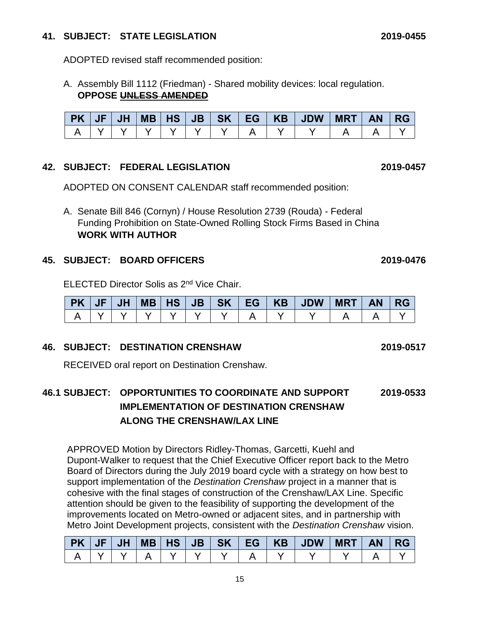#### **41. SUBJECT: STATE LEGISLATION 2019-0455**

ADOPTED revised staff recommended position:

A. Assembly Bill 1112 (Friedman) - Shared mobility devices: local regulation. **OPPOSE UNLESS AMENDED**

| $PK$ $JF$ | $JH$ $V$ |  |  |  | MB   HS   JB   SK   EG   KB   JDW   MRT | AN RG |  |
|-----------|----------|--|--|--|-----------------------------------------|-------|--|
|           |          |  |  |  |                                         |       |  |

#### **42. SUBJECT: FEDERAL LEGISLATION 2019-0457**

ADOPTED ON CONSENT CALENDAR staff recommended position:

A. Senate Bill 846 (Cornyn) / House Resolution 2739 (Rouda) - Federal Funding Prohibition on State-Owned Rolling Stock Firms Based in China **WORK WITH AUTHOR**

#### **45. SUBJECT: BOARD OFFICERS 2019-0476**

ELECTED Director Solis as 2<sup>nd</sup> Vice Chair.

|  |  |  |  | PK   JF   JH   MB   HS   JB   SK   EG   KB   JDW   MRT   AN   RG |  |  |
|--|--|--|--|------------------------------------------------------------------|--|--|
|  |  |  |  |                                                                  |  |  |

### **46. SUBJECT: DESTINATION CRENSHAW 2019-0517**

RECEIVED oral report on Destination Crenshaw.

# **46.1 SUBJECT: OPPORTUNITIES TO COORDINATE AND SUPPORT 2019-0533 IMPLEMENTATION OF DESTINATION CRENSHAW ALONG THE CRENSHAW/LAX LINE**

APPROVED Motion by Directors Ridley-Thomas, Garcetti, Kuehl and Dupont-Walker to request that the Chief Executive Officer report back to the Metro Board of Directors during the July 2019 board cycle with a strategy on how best to support implementation of the *Destination Crenshaw* project in a manner that is cohesive with the final stages of construction of the Crenshaw/LAX Line. Specific attention should be given to the feasibility of supporting the development of the improvements located on Metro-owned or adjacent sites, and in partnership with Metro Joint Development projects, consistent with the *Destination Crenshaw* vision.

| PK   JF | JH |  | $MB$ $HS$ $JB$ |  | SK   EG   KB   JDW | MRT | <b>AN</b> | <b>RG</b> |
|---------|----|--|----------------|--|--------------------|-----|-----------|-----------|
|         |    |  |                |  |                    |     |           |           |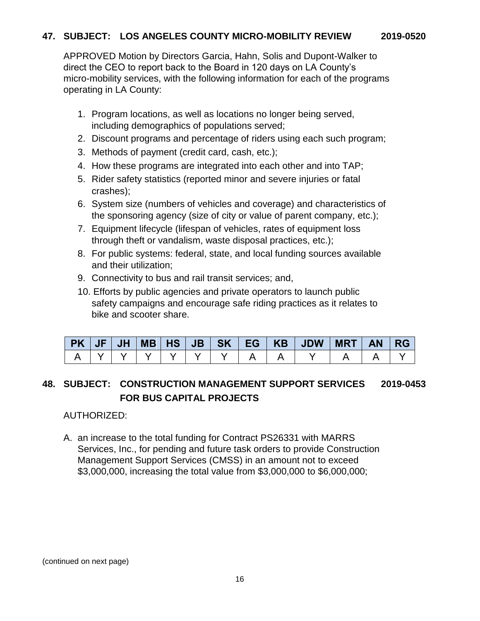APPROVED Motion by Directors Garcia, Hahn, Solis and Dupont-Walker to direct the CEO to report back to the Board in 120 days on LA County's micro-mobility services, with the following information for each of the programs operating in LA County:

- 1. Program locations, as well as locations no longer being served, including demographics of populations served;
- 2. Discount programs and percentage of riders using each such program;
- 3. Methods of payment (credit card, cash, etc.);
- 4. How these programs are integrated into each other and into TAP;
- 5. Rider safety statistics (reported minor and severe injuries or fatal crashes);
- 6. System size (numbers of vehicles and coverage) and characteristics of the sponsoring agency (size of city or value of parent company, etc.);
- 7. Equipment lifecycle (lifespan of vehicles, rates of equipment loss through theft or vandalism, waste disposal practices, etc.);
- 8. For public systems: federal, state, and local funding sources available and their utilization;
- 9. Connectivity to bus and rail transit services; and,
- 10. Efforts by public agencies and private operators to launch public safety campaigns and encourage safe riding practices as it relates to bike and scooter share.

|  |  |  |  | $PK$   JF   JH   MB   HS   JB   SK   EG   KB   JDW   MRT   AN   RG |  |  |
|--|--|--|--|--------------------------------------------------------------------|--|--|
|  |  |  |  | .   Y   Y   Y   Y   Y   A   A   Y                                  |  |  |

# **48. SUBJECT: CONSTRUCTION MANAGEMENT SUPPORT SERVICES 2019-0453 FOR BUS CAPITAL PROJECTS**

### AUTHORIZED:

A. an increase to the total funding for Contract PS26331 with MARRS Services, Inc., for pending and future task orders to provide Construction Management Support Services (CMSS) in an amount not to exceed \$3,000,000, increasing the total value from \$3,000,000 to \$6,000,000;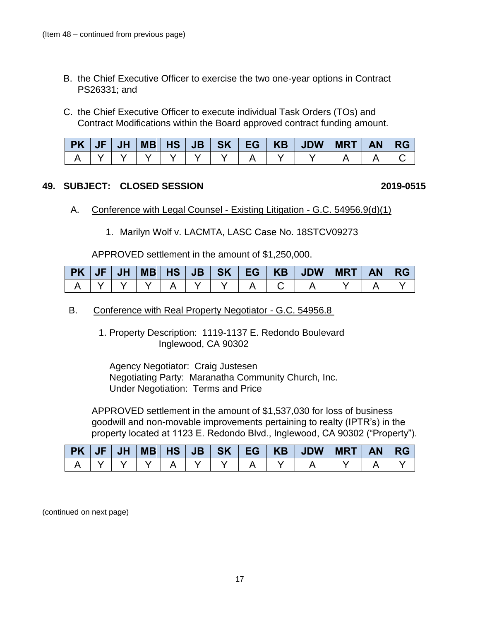- B. the Chief Executive Officer to exercise the two one-year options in Contract PS26331; and
- C. the Chief Executive Officer to execute individual Task Orders (TOs) and Contract Modifications within the Board approved contract funding amount.

|  |  |  |  | PK   JF   JH   MB   HS   JB   SK   EG   KB   JDW   MRT   AN   RG |  |  |
|--|--|--|--|------------------------------------------------------------------|--|--|
|  |  |  |  |                                                                  |  |  |

#### **49. SUBJECT: CLOSED SESSION 2019-0515**

- A. Conference with Legal Counsel Existing Litigation G.C. 54956.9(d)(1)
	- 1. Marilyn Wolf v. LACMTA, LASC Case No. 18STCV09273

APPROVED settlement in the amount of \$1,250,000.

|  |  |  |  | PK   JF   JH   MB   HS   JB   SK   EG   KB   JDW   MRT   AN   RG |  |  |
|--|--|--|--|------------------------------------------------------------------|--|--|
|  |  |  |  |                                                                  |  |  |

#### B. Conference with Real Property Negotiator - G.C. 54956.8

1. Property Description: 1119-1137 E. Redondo Boulevard Inglewood, CA 90302

Agency Negotiator: Craig Justesen Negotiating Party: Maranatha Community Church, Inc. Under Negotiation: Terms and Price

APPROVED settlement in the amount of \$1,537,030 for loss of business goodwill and non-movable improvements pertaining to realty (IPTR's) in the property located at 1123 E. Redondo Blvd., Inglewood, CA 90302 ("Property").

|  |  |  |  | PK   JF   JH   MB   HS   JB   SK   EG   KB   JDW   MRT | <b>AN</b> | <b>RG</b> |
|--|--|--|--|--------------------------------------------------------|-----------|-----------|
|  |  |  |  |                                                        |           |           |

(continued on next page)